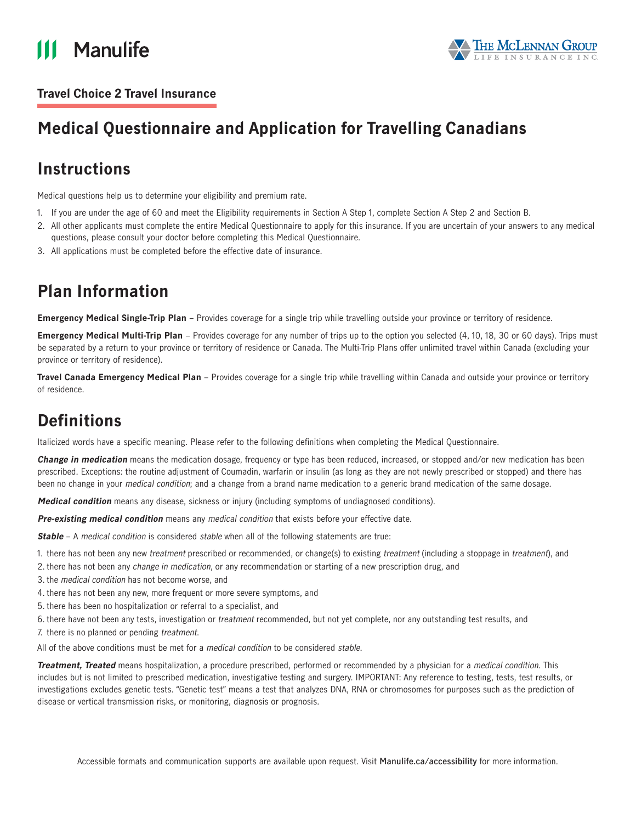



### **Travel Choice 2 Travel Insurance**

# **Medical Questionnaire and Application for Travelling Canadians**

# **Instructions**

Medical questions help us to determine your eligibility and premium rate.

- 1. If you are under the age of 60 and meet the Eligibility requirements in Section A Step 1, complete Section A Step 2 and Section B.
- 2. All other applicants must complete the entire Medical Questionnaire to apply for this insurance. If you are uncertain of your answers to any medical questions, please consult your doctor before completing this Medical Questionnaire.
- 3. All applications must be completed before the effective date of insurance.

# **Plan Information**

**Emergency Medical Single-Trip Plan** – Provides coverage for a single trip while travelling outside your province or territory of residence.

**Emergency Medical Multi-Trip Plan** – Provides coverage for any number of trips up to the option you selected (4, 10, 18, 30 or 60 days). Trips must be separated by a return to your province or territory of residence or Canada. The Multi-Trip Plans offer unlimited travel within Canada (excluding your province or territory of residence).

**Travel Canada Emergency Medical Plan** – Provides coverage for a single trip while travelling within Canada and outside your province or territory of residence.

# **Definitions**

Italicized words have a specific meaning. Please refer to the following definitions when completing the Medical Questionnaire.

**Change in medication** means the medication dosage, frequency or type has been reduced, increased, or stopped and/or new medication has been prescribed. Exceptions: the routine adjustment of Coumadin, warfarin or insulin (as long as they are not newly prescribed or stopped) and there has been no change in your medical condition; and a change from a brand name medication to a generic brand medication of the same dosage.

**Medical condition** means any disease, sickness or injury (including symptoms of undiagnosed conditions).

**Pre-existing medical condition** means any medical condition that exists before your effective date.

**Stable** – A medical condition is considered stable when all of the following statements are true:

- 1. there has not been any new treatment prescribed or recommended, or change(s) to existing treatment (including a stoppage in treatment), and
- 2. there has not been any change in medication, or any recommendation or starting of a new prescription drug, and
- 3. the medical condition has not become worse, and
- 4. there has not been any new, more frequent or more severe symptoms, and
- 5. there has been no hospitalization or referral to a specialist, and
- 6. there have not been any tests, investigation or treatment recommended, but not yet complete, nor any outstanding test results, and
- 7. there is no planned or pending treatment.

All of the above conditions must be met for a medical condition to be considered stable.

**Treatment, Treated** means hospitalization, a procedure prescribed, performed or recommended by a physician for a medical condition. This includes but is not limited to prescribed medication, investigative testing and surgery. IMPORTANT: Any reference to testing, tests, test results, or investigations excludes genetic tests. "Genetic test" means a test that analyzes DNA, RNA or chromosomes for purposes such as the prediction of disease or vertical transmission risks, or monitoring, diagnosis or prognosis.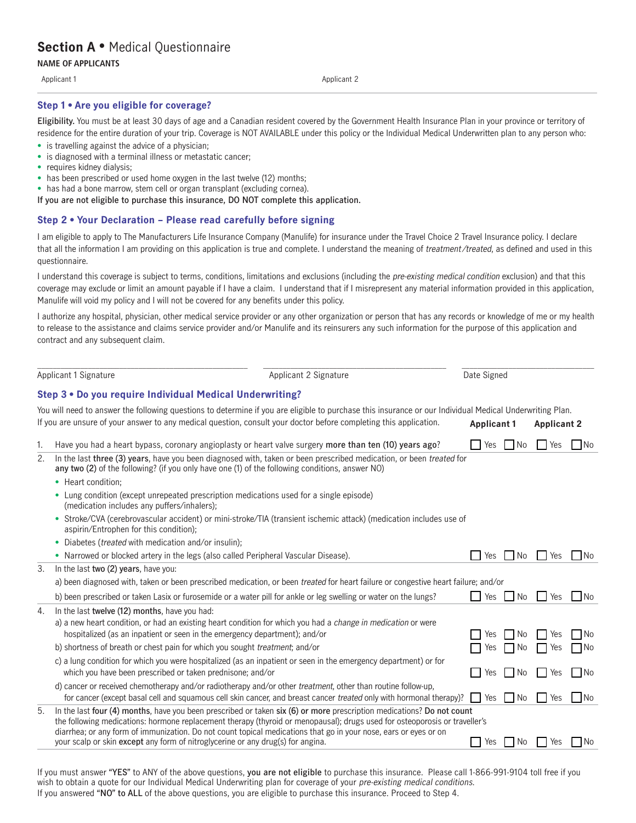# **Section A** • Medical Questionnaire

**NAME OF APPLICANTS** 

Applicant 1 Applicant 1 Applicant 2 Applicant 2 Applicant 2 Applicant 2 Applicant 2 Applicant 2 Applicant 2 Applicant 2 Applicant 2 Applicant 2 Applicant 2 Applicant 2 Applicant 2 Applicant 2 Applicant 2 Applicant 2 Applic

#### **Step 1 • Are you eligible for coverage?**

**Eligibility.** You must be at least 30 days of age and a Canadian resident covered by the Government Health Insurance Plan in your province or territory of residence for the entire duration of your trip. Coverage is NOT AVAILABLE under this policy or the Individual Medical Underwritten plan to any person who:

- is travelling against the advice of a physician:
- is diagnosed with a terminal illness or metastatic cancer;<br>• requires kidney dialysis;
- 
- has been prescribed or used home oxygen in the last twelve (12) months;
- has had a bone marrow, stem cell or organ transplant (excluding cornea).
- **If you are not eligible to purchase this insurance, DO NOT complete this application.**

#### **Step 2 • Your Declaration – Please read carefully before signing**

I am eligible to apply to The Manufacturers Life Insurance Company (Manulife) for insurance under the Travel Choice 2 Travel Insurance policy. I declare that all the information I am providing on this application is true and complete. I understand the meaning of treatment/treated, as defined and used in this questionnaire.

I understand this coverage is subject to terms, conditions, limitations and exclusions (including the *pre-existing medical condition* exclusion) and that this coverage may exclude or limit an amount payable if I have a claim. I understand that if I misrepresent any material information provided in this application, Manulife will void my policy and I will not be covered for any benefits under this policy.

I authorize any hospital, physician, other medical service provider or any other organization or person that has any records or knowledge of me or my health to release to the assistance and claims service provider and/or Manulife and its reinsurers any such information for the purpose of this application and contract and any subsequent claim.

| Applicant 1 Signature |                                                                                                                                                                                                                                                                                                                                                                                                                                                            | Applicant 2 Signature                                                                                                      | Date Signed        |            |                    |      |  |
|-----------------------|------------------------------------------------------------------------------------------------------------------------------------------------------------------------------------------------------------------------------------------------------------------------------------------------------------------------------------------------------------------------------------------------------------------------------------------------------------|----------------------------------------------------------------------------------------------------------------------------|--------------------|------------|--------------------|------|--|
|                       | Step 3 . Do you require Individual Medical Underwriting?                                                                                                                                                                                                                                                                                                                                                                                                   |                                                                                                                            |                    |            |                    |      |  |
|                       |                                                                                                                                                                                                                                                                                                                                                                                                                                                            |                                                                                                                            |                    |            |                    |      |  |
|                       | You will need to answer the following questions to determine if you are eligible to purchase this insurance or our Individual Medical Underwriting Plan.<br>If you are unsure of your answer to any medical question, consult your doctor before completing this application.                                                                                                                                                                              |                                                                                                                            | <b>Applicant 1</b> |            | <b>Applicant 2</b> |      |  |
| 1.                    | Have you had a heart bypass, coronary angioplasty or heart valve surgery more than ten (10) years ago?                                                                                                                                                                                                                                                                                                                                                     |                                                                                                                            | Yes                | $\n  Ne\n$ | I Yes              | No   |  |
| 2.                    | In the last three (3) years, have you been diagnosed with, taken or been prescribed medication, or been treated for<br>any two (2) of the following? (if you only have one (1) of the following conditions, answer NO)                                                                                                                                                                                                                                     |                                                                                                                            |                    |            |                    |      |  |
|                       | • Heart condition:                                                                                                                                                                                                                                                                                                                                                                                                                                         |                                                                                                                            |                    |            |                    |      |  |
|                       | • Lung condition (except unrepeated prescription medications used for a single episode)<br>(medication includes any puffers/inhalers);                                                                                                                                                                                                                                                                                                                     |                                                                                                                            |                    |            |                    |      |  |
|                       | • Stroke/CVA (cerebrovascular accident) or mini-stroke/TIA (transient ischemic attack) (medication includes use of<br>aspirin/Entrophen for this condition);                                                                                                                                                                                                                                                                                               |                                                                                                                            |                    |            |                    |      |  |
| 3.<br>4.<br>5.        | Diabetes ( <i>treated</i> with medication and/or insulin);                                                                                                                                                                                                                                                                                                                                                                                                 |                                                                                                                            |                    |            |                    |      |  |
|                       | • Narrowed or blocked artery in the legs (also called Peripheral Vascular Disease).                                                                                                                                                                                                                                                                                                                                                                        |                                                                                                                            | Yes                | l No       | I Yes              | 1 No |  |
|                       | In the last two (2) years, have you:                                                                                                                                                                                                                                                                                                                                                                                                                       |                                                                                                                            |                    |            |                    |      |  |
|                       | a) been diagnosed with, taken or been prescribed medication, or been treated for heart failure or congestive heart failure; and/or                                                                                                                                                                                                                                                                                                                         |                                                                                                                            |                    |            |                    |      |  |
|                       | b) been prescribed or taken Lasix or furosemide or a water pill for ankle or leg swelling or water on the lungs?                                                                                                                                                                                                                                                                                                                                           |                                                                                                                            | l Yes              | No.        | Yes                | l No |  |
|                       | In the last twelve (12) months, have you had:                                                                                                                                                                                                                                                                                                                                                                                                              |                                                                                                                            |                    |            |                    |      |  |
|                       | a) a new heart condition, or had an existing heart condition for which you had a change in medication or were<br>hospitalized (as an inpatient or seen in the emergency department); and/or                                                                                                                                                                                                                                                                |                                                                                                                            | Yes                | No.        | Yes                | l No |  |
|                       | b) shortness of breath or chest pain for which you sought treatment; and/or                                                                                                                                                                                                                                                                                                                                                                                |                                                                                                                            | Yes                | l No       | Yes                | ∣ No |  |
|                       | c) a lung condition for which you were hospitalized (as an inpatient or seen in the emergency department) or for<br>which you have been prescribed or taken prednisone; and/or                                                                                                                                                                                                                                                                             |                                                                                                                            | Yes                | No.        | Yes                | l No |  |
|                       | d) cancer or received chemotherapy and/or radiotherapy and/or other <i>treatment</i> , other than routine follow-up,                                                                                                                                                                                                                                                                                                                                       | for cancer (except basal cell and squamous cell skin cancer, and breast cancer <i>treated</i> only with hormonal therapy)? | <b>Nes</b>         | $\Box$ No  | Yes                | No   |  |
|                       | In the last four (4) months, have you been prescribed or taken six (6) or more prescription medications? Do not count<br>the following medications: hormone replacement therapy (thyroid or menopausal); drugs used for osteoporosis or traveller's<br>diarrhea; or any form of immunization. Do not count topical medications that go in your nose, ears or eyes or on<br>your scalp or skin except any form of nitroglycerine or any drug(s) for angina. |                                                                                                                            | Yes                | l No       | Yes                | l No |  |

If you must answer **"YES"** to ANY of the above questions, **you are not eligible** to purchase this insurance. Please call 1-866-991-9104 toll free if you wish to obtain a quote for our Individual Medical Underwriting plan for coverage of your pre-existing medical conditions. If you answered **"NO" to ALL** of the above questions, you are eligible to purchase this insurance. Proceed to Step 4.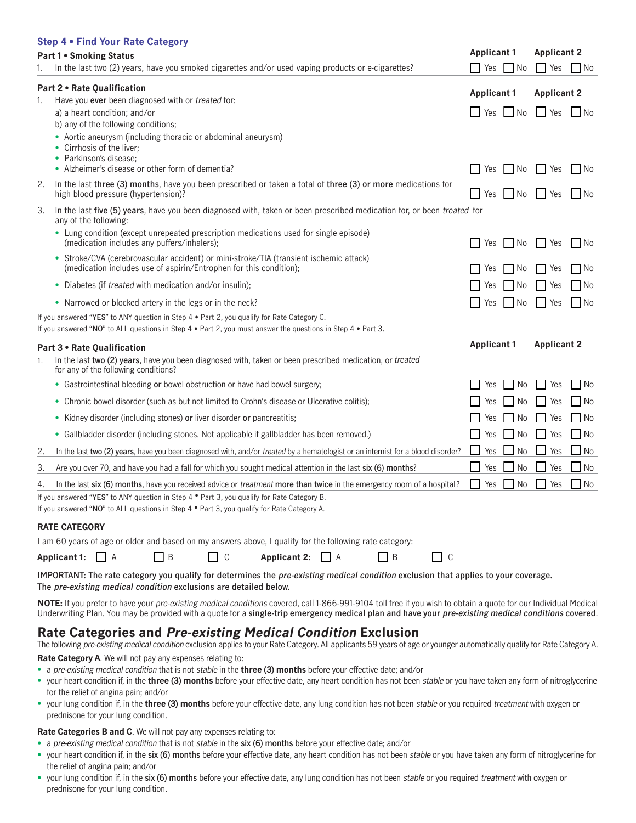|    | Step 4 . Find Your Rate Category                                                                                                                             |                    |                 |                                 |                |
|----|--------------------------------------------------------------------------------------------------------------------------------------------------------------|--------------------|-----------------|---------------------------------|----------------|
|    | <b>Part 1 • Smoking Status</b>                                                                                                                               | <b>Applicant 1</b> |                 | <b>Applicant 2</b>              |                |
| 1. | In the last two (2) years, have you smoked cigarettes and/or used vaping products or e-cigarettes?                                                           | <b>Yes</b>         | No              | <b>Yes</b>                      | No             |
| 1. | Part 2 . Rate Qualification<br>Have you ever been diagnosed with or treated for:                                                                             | <b>Applicant 1</b> |                 | <b>Applicant 2</b>              |                |
|    | a) a heart condition; and/or                                                                                                                                 |                    |                 | $\Box$ Yes $\Box$ No $\Box$ Yes | $\blacksquare$ |
|    | b) any of the following conditions;                                                                                                                          |                    |                 |                                 |                |
|    | • Aortic aneurysm (including thoracic or abdominal aneurysm)                                                                                                 |                    |                 |                                 |                |
|    | • Cirrhosis of the liver;<br>• Parkinson's disease;                                                                                                          |                    |                 |                                 |                |
|    | • Alzheimer's disease or other form of dementia?                                                                                                             | Yes                | No              | Yes                             | No             |
| 2. | In the last three (3) months, have you been prescribed or taken a total of three (3) or more medications for<br>high blood pressure (hypertension)?          | Nes __             | $\Box$ No       | ⊿ Yes                           | l INo          |
| 3. | In the last five (5) years, have you been diagnosed with, taken or been prescribed medication for, or been treated for<br>any of the following:              |                    |                 |                                 |                |
|    | • Lung condition (except unrepeated prescription medications used for single episode)                                                                        |                    |                 |                                 |                |
|    | (medication includes any puffers/inhalers);                                                                                                                  | Yes                | No              | l Yes                           | l INo          |
|    | • Stroke/CVA (cerebrovascular accident) or mini-stroke/TIA (transient ischemic attack)<br>(medication includes use of aspirin/Entrophen for this condition); | Yes                | No.             | Yes                             | l No           |
|    | • Diabetes (if treated with medication and/or insulin);                                                                                                      | Yes                | No.             | Yes                             | l No           |
|    | • Narrowed or blocked artery in the legs or in the neck?                                                                                                     | Yes                | No.             | Yes                             | l No           |
|    | If you answered "YES" to ANY question in Step 4 • Part 2, you qualify for Rate Category C.                                                                   |                    |                 |                                 |                |
|    | If you answered "NO" to ALL questions in Step $4 \cdot$ Part 2, you must answer the questions in Step $4 \cdot$ Part 3.                                      |                    |                 |                                 |                |
|    | Part 3 . Rate Qualification                                                                                                                                  | <b>Applicant 1</b> |                 | <b>Applicant 2</b>              |                |
| 1. | In the last two (2) years, have you been diagnosed with, taken or been prescribed medication, or <i>treated</i><br>for any of the following conditions?      |                    |                 |                                 |                |
|    | • Gastrointestinal bleeding or bowel obstruction or have had bowel surgery;                                                                                  | Yes                | No              | Yes                             | l No           |
|    | • Chronic bowel disorder (such as but not limited to Crohn's disease or Ulcerative colitis);                                                                 | Yes                | No              | Yes                             | l No           |
|    | • Kidney disorder (including stones) or liver disorder or pancreatitis;                                                                                      | Yes                | No.             | Yes                             | No             |
|    | • Gallbladder disorder (including stones. Not applicable if gallbladder has been removed.)                                                                   | Yes                | No.             | Yes                             | _l No          |
| 2. | In the last two (2) years, have you been diagnosed with, and/or <i>treated</i> by a hematologist or an internist for a blood disorder?                       | Yes                | No              | ⊿ Yes                           | _I No          |
| 3. | Are you over 70, and have you had a fall for which you sought medical attention in the last six (6) months?                                                  | Yes                | $\Box$ No       | ⊿ Yes                           | $\Box$ No      |
| 4. | In the last six (6) months, have you received advice or <i>treatment</i> more than twice in the emergency room of a hospital?                                | Yes                | $\mathsf{I}$ No | l Yes                           | l No           |
|    | If you answered "YES" to ANY question in Step $4 \cdot$ Part 3, you qualify for Rate Category B.                                                             |                    |                 |                                 |                |
|    | If you answered "NO" to ALL questions in Step 4 $\bullet$ Part 3, you qualify for Rate Category A.                                                           |                    |                 |                                 |                |
|    | <b>RATE CATEGORY</b>                                                                                                                                         |                    |                 |                                 |                |
|    | I am 60 years of age or older and based on my answers above, I qualify for the following rate category:                                                      |                    |                 |                                 |                |

| Applicant 1: $\Box$ A |  |  |  | $\Box$ C Applicant 2: $\Box$ A |  |  | $\Box$ c |
|-----------------------|--|--|--|--------------------------------|--|--|----------|
|-----------------------|--|--|--|--------------------------------|--|--|----------|

 **The pre-existing medical condition exclusions are detailed below. IMPORTANT: The rate category you qualify for determines the pre-existing medical condition exclusion that applies to your coverage.** 

**NOTE:** If you prefer to have your pre-existing medical conditions covered, call 1-866-991-9104 toll free if you wish to obtain a quote for our Individual Medical Underwriting Plan. You may be provided with a quote for a **single-trip emergency medical plan and have your pre-existing medical conditions covered**.

## **Rate Categories and Pre-existing Medical Condition Exclusion**

The following pre-existing medical condition exclusion applies to your Rate Category. All applicants 59 years of age or younger automatically qualify for Rate Category A.

**Rate Category A**. We will not pay any expenses relating to:

- a pre-existing medical condition that is not stable in the **three (3) months** before your effective date; and/or
- • your heart condition if, in the **three (3) months** before your effective date, any heart condition has not been stable or you have taken any form of nitroglycerine for the relief of angina pain; and/or
- • your lung condition if, in the **three (3) months** before your effective date, any lung condition has not been stable or you required treatment with oxygen or prednisone for your lung condition.

### **Rate Categories B and C**. We will not pay any expenses relating to:

- a pre-existing medical condition that is not stable in the **six (6) months** before your effective date; and/or
- • your heart condition if, in the **six (6) months** before your effective date, any heart condition has not been stable or you have taken any form of nitroglycerine for the relief of angina pain; and/or
- • your lung condition if, in the **six (6) months** before your effective date, any lung condition has not been stable or you required treatment with oxygen or prednisone for your lung condition.